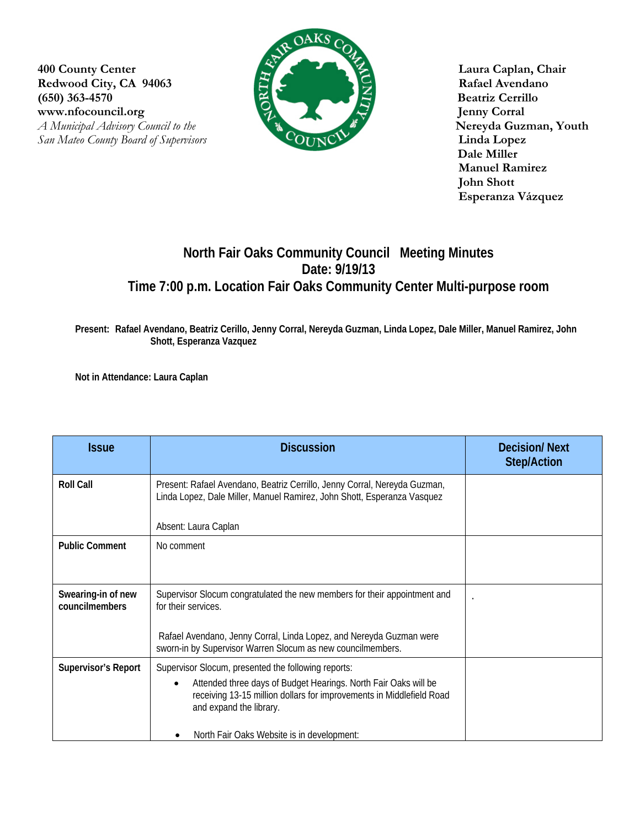**400 County Center Laura Caplan, Chair** Redwood City, CA 94063 **Rafael Avendano (650) 363-4570 Beatriz Cerrillo**  www.nfocouncil.org Jenny Corral *A Municipal Advisory Council to the Nereyda Guzman, Youth* 



 **Dale Miller Manuel Ramirez John Shott Esperanza Vázquez**

## **North Fair Oaks Community Council Meeting Minutes Date: 9/19/13 Time 7:00 p.m. Location Fair Oaks Community Center Multi-purpose room**

**Present: Rafael Avendano, Beatriz Cerillo, Jenny Corral, Nereyda Guzman, Linda Lopez, Dale Miller, Manuel Ramirez, John Shott, Esperanza Vazquez** 

**Not in Attendance: Laura Caplan** 

| <b>Issue</b>                         | <b>Discussion</b>                                                                                                                                                                                                                                                       | <b>Decision/Next</b><br><b>Step/Action</b> |
|--------------------------------------|-------------------------------------------------------------------------------------------------------------------------------------------------------------------------------------------------------------------------------------------------------------------------|--------------------------------------------|
| <b>Roll Call</b>                     | Present: Rafael Avendano, Beatriz Cerrillo, Jenny Corral, Nereyda Guzman,<br>Linda Lopez, Dale Miller, Manuel Ramirez, John Shott, Esperanza Vasquez<br>Absent: Laura Caplan                                                                                            |                                            |
| <b>Public Comment</b>                | No comment                                                                                                                                                                                                                                                              |                                            |
| Swearing-in of new<br>councilmembers | Supervisor Slocum congratulated the new members for their appointment and<br>for their services.<br>Rafael Avendano, Jenny Corral, Linda Lopez, and Nereyda Guzman were<br>sworn-in by Supervisor Warren Slocum as new councilmembers.                                  |                                            |
| <b>Supervisor's Report</b>           | Supervisor Slocum, presented the following reports:<br>Attended three days of Budget Hearings. North Fair Oaks will be<br>receiving 13-15 million dollars for improvements in Middlefield Road<br>and expand the library.<br>North Fair Oaks Website is in development: |                                            |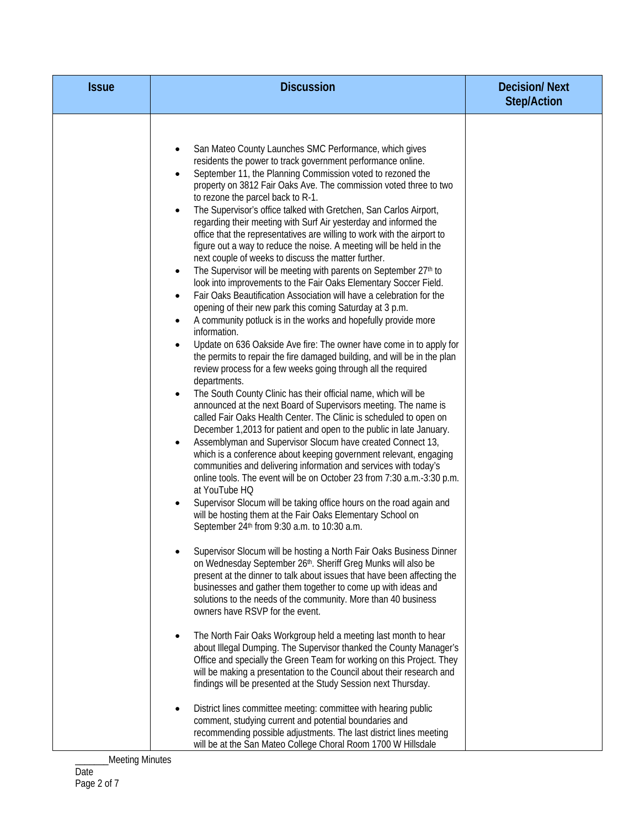| <b>Issue</b> | <b>Discussion</b>                                                                                                                                                                                                                                                                                                                                                                                                                                                                                                                                                                                                                                                                                                                                                                                                                                                                                                                                                                                                                                                                                                                                                                                                                                                                                                                                                                                                                                                                                                                                                                                                                                                                                                                                                                                                                                                                                                                                                                                                                                                                                                                                                                                                                                                                                                                                                                                                                                                                                                                                                                                                                                                                                                                                                                                                                                                                                                                                                                                                                               | <b>Decision/Next</b><br><b>Step/Action</b> |
|--------------|-------------------------------------------------------------------------------------------------------------------------------------------------------------------------------------------------------------------------------------------------------------------------------------------------------------------------------------------------------------------------------------------------------------------------------------------------------------------------------------------------------------------------------------------------------------------------------------------------------------------------------------------------------------------------------------------------------------------------------------------------------------------------------------------------------------------------------------------------------------------------------------------------------------------------------------------------------------------------------------------------------------------------------------------------------------------------------------------------------------------------------------------------------------------------------------------------------------------------------------------------------------------------------------------------------------------------------------------------------------------------------------------------------------------------------------------------------------------------------------------------------------------------------------------------------------------------------------------------------------------------------------------------------------------------------------------------------------------------------------------------------------------------------------------------------------------------------------------------------------------------------------------------------------------------------------------------------------------------------------------------------------------------------------------------------------------------------------------------------------------------------------------------------------------------------------------------------------------------------------------------------------------------------------------------------------------------------------------------------------------------------------------------------------------------------------------------------------------------------------------------------------------------------------------------------------------------------------------------------------------------------------------------------------------------------------------------------------------------------------------------------------------------------------------------------------------------------------------------------------------------------------------------------------------------------------------------------------------------------------------------------------------------------------------------|--------------------------------------------|
|              | San Mateo County Launches SMC Performance, which gives<br>٠<br>residents the power to track government performance online.<br>September 11, the Planning Commission voted to rezoned the<br>$\bullet$<br>property on 3812 Fair Oaks Ave. The commission voted three to two<br>to rezone the parcel back to R-1.<br>The Supervisor's office talked with Gretchen, San Carlos Airport,<br>regarding their meeting with Surf Air yesterday and informed the<br>office that the representatives are willing to work with the airport to<br>figure out a way to reduce the noise. A meeting will be held in the<br>next couple of weeks to discuss the matter further.<br>The Supervisor will be meeting with parents on September 27th to<br>look into improvements to the Fair Oaks Elementary Soccer Field.<br>Fair Oaks Beautification Association will have a celebration for the<br>$\bullet$<br>opening of their new park this coming Saturday at 3 p.m.<br>A community potluck is in the works and hopefully provide more<br>$\bullet$<br>information.<br>Update on 636 Oakside Ave fire: The owner have come in to apply for<br>the permits to repair the fire damaged building, and will be in the plan<br>review process for a few weeks going through all the required<br>departments.<br>The South County Clinic has their official name, which will be<br>$\bullet$<br>announced at the next Board of Supervisors meeting. The name is<br>called Fair Oaks Health Center. The Clinic is scheduled to open on<br>December 1,2013 for patient and open to the public in late January.<br>Assemblyman and Supervisor Slocum have created Connect 13,<br>٠<br>which is a conference about keeping government relevant, engaging<br>communities and delivering information and services with today's<br>online tools. The event will be on October 23 from 7:30 a.m.-3:30 p.m.<br>at YouTube HQ<br>Supervisor Slocum will be taking office hours on the road again and<br>will be hosting them at the Fair Oaks Elementary School on<br>September 24th from 9:30 a.m. to 10:30 a.m.<br>Supervisor Slocum will be hosting a North Fair Oaks Business Dinner<br>on Wednesday September 26th. Sheriff Greg Munks will also be<br>present at the dinner to talk about issues that have been affecting the<br>businesses and gather them together to come up with ideas and<br>solutions to the needs of the community. More than 40 business<br>owners have RSVP for the event.<br>The North Fair Oaks Workgroup held a meeting last month to hear<br>about Illegal Dumping. The Supervisor thanked the County Manager's<br>Office and specially the Green Team for working on this Project. They<br>will be making a presentation to the Council about their research and<br>findings will be presented at the Study Session next Thursday.<br>District lines committee meeting: committee with hearing public<br>comment, studying current and potential boundaries and<br>recommending possible adjustments. The last district lines meeting |                                            |
|              | will be at the San Mateo College Choral Room 1700 W Hillsdale                                                                                                                                                                                                                                                                                                                                                                                                                                                                                                                                                                                                                                                                                                                                                                                                                                                                                                                                                                                                                                                                                                                                                                                                                                                                                                                                                                                                                                                                                                                                                                                                                                                                                                                                                                                                                                                                                                                                                                                                                                                                                                                                                                                                                                                                                                                                                                                                                                                                                                                                                                                                                                                                                                                                                                                                                                                                                                                                                                                   |                                            |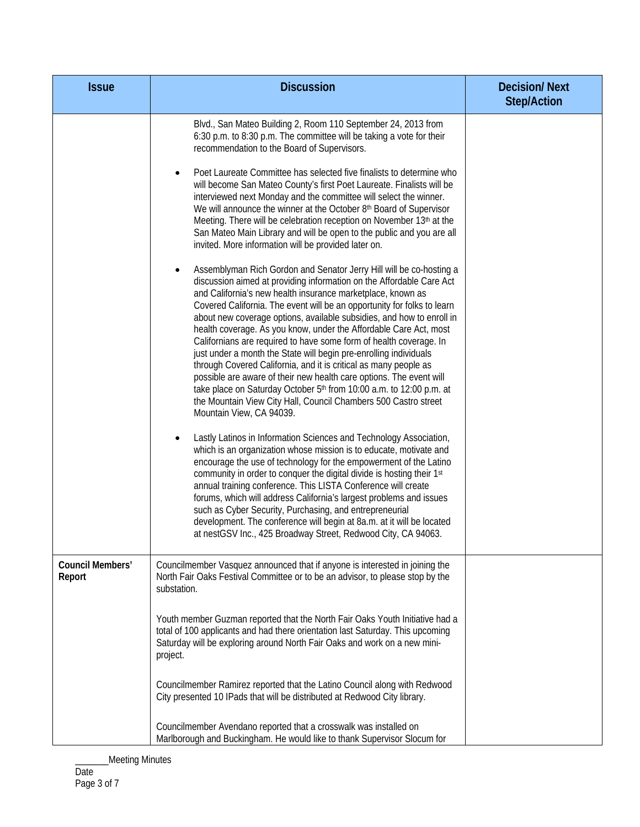| <b>Issue</b>               | <b>Discussion</b>                                                                                                                                                                                                                                                                                                                                                                                                                                                                                                                                                                                                                                                                                                                                                                                                                                                                               | <b>Decision/Next</b><br><b>Step/Action</b> |
|----------------------------|-------------------------------------------------------------------------------------------------------------------------------------------------------------------------------------------------------------------------------------------------------------------------------------------------------------------------------------------------------------------------------------------------------------------------------------------------------------------------------------------------------------------------------------------------------------------------------------------------------------------------------------------------------------------------------------------------------------------------------------------------------------------------------------------------------------------------------------------------------------------------------------------------|--------------------------------------------|
|                            | Blvd., San Mateo Building 2, Room 110 September 24, 2013 from<br>6:30 p.m. to 8:30 p.m. The committee will be taking a vote for their<br>recommendation to the Board of Supervisors.                                                                                                                                                                                                                                                                                                                                                                                                                                                                                                                                                                                                                                                                                                            |                                            |
|                            | Poet Laureate Committee has selected five finalists to determine who<br>will become San Mateo County's first Poet Laureate. Finalists will be<br>interviewed next Monday and the committee will select the winner.<br>We will announce the winner at the October 8th Board of Supervisor<br>Meeting. There will be celebration reception on November 13th at the<br>San Mateo Main Library and will be open to the public and you are all<br>invited. More information will be provided later on.                                                                                                                                                                                                                                                                                                                                                                                               |                                            |
|                            | Assemblyman Rich Gordon and Senator Jerry Hill will be co-hosting a<br>discussion aimed at providing information on the Affordable Care Act<br>and California's new health insurance marketplace, known as<br>Covered California. The event will be an opportunity for folks to learn<br>about new coverage options, available subsidies, and how to enroll in<br>health coverage. As you know, under the Affordable Care Act, most<br>Californians are required to have some form of health coverage. In<br>just under a month the State will begin pre-enrolling individuals<br>through Covered California, and it is critical as many people as<br>possible are aware of their new health care options. The event will<br>take place on Saturday October 5th from 10:00 a.m. to 12:00 p.m. at<br>the Mountain View City Hall, Council Chambers 500 Castro street<br>Mountain View, CA 94039. |                                            |
|                            | Lastly Latinos in Information Sciences and Technology Association,<br>which is an organization whose mission is to educate, motivate and<br>encourage the use of technology for the empowerment of the Latino<br>community in order to conquer the digital divide is hosting their 1st<br>annual training conference. This LISTA Conference will create<br>forums, which will address California's largest problems and issues<br>such as Cyber Security, Purchasing, and entrepreneurial<br>development. The conference will begin at 8a.m. at it will be located<br>at nestGSV Inc., 425 Broadway Street, Redwood City, CA 94063.                                                                                                                                                                                                                                                             |                                            |
| Council Members'<br>Report | Councilmember Vasquez announced that if anyone is interested in joining the<br>North Fair Oaks Festival Committee or to be an advisor, to please stop by the<br>substation.                                                                                                                                                                                                                                                                                                                                                                                                                                                                                                                                                                                                                                                                                                                     |                                            |
|                            | Youth member Guzman reported that the North Fair Oaks Youth Initiative had a<br>total of 100 applicants and had there orientation last Saturday. This upcoming<br>Saturday will be exploring around North Fair Oaks and work on a new mini-<br>project.                                                                                                                                                                                                                                                                                                                                                                                                                                                                                                                                                                                                                                         |                                            |
|                            | Councilmember Ramirez reported that the Latino Council along with Redwood<br>City presented 10 IPads that will be distributed at Redwood City library.                                                                                                                                                                                                                                                                                                                                                                                                                                                                                                                                                                                                                                                                                                                                          |                                            |
|                            | Councilmember Avendano reported that a crosswalk was installed on<br>Marlborough and Buckingham. He would like to thank Supervisor Slocum for                                                                                                                                                                                                                                                                                                                                                                                                                                                                                                                                                                                                                                                                                                                                                   |                                            |

\_\_\_Meeting Minutes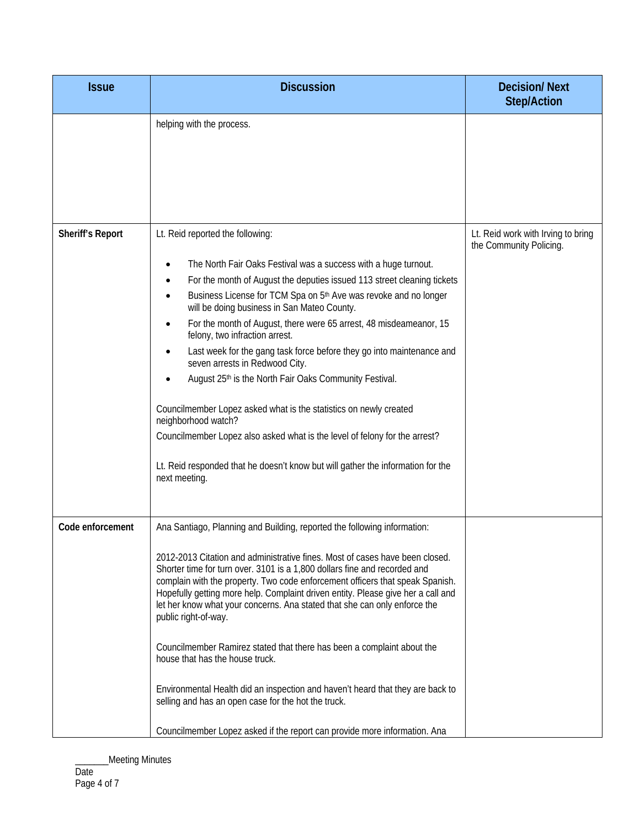| <b>Issue</b>            | <b>Discussion</b>                                                                                                                                                                                                                                                                                                                                                                                                                                                                                                                                                                                                                                                                      | <b>Decision/Next</b><br><b>Step/Action</b>                    |
|-------------------------|----------------------------------------------------------------------------------------------------------------------------------------------------------------------------------------------------------------------------------------------------------------------------------------------------------------------------------------------------------------------------------------------------------------------------------------------------------------------------------------------------------------------------------------------------------------------------------------------------------------------------------------------------------------------------------------|---------------------------------------------------------------|
|                         | helping with the process.                                                                                                                                                                                                                                                                                                                                                                                                                                                                                                                                                                                                                                                              |                                                               |
| <b>Sheriff's Report</b> | Lt. Reid reported the following:<br>The North Fair Oaks Festival was a success with a huge turnout.<br>For the month of August the deputies issued 113 street cleaning tickets<br>Business License for TCM Spa on 5 <sup>th</sup> Ave was revoke and no longer<br>will be doing business in San Mateo County.<br>For the month of August, there were 65 arrest, 48 misdeameanor, 15<br>felony, two infraction arrest.<br>Last week for the gang task force before they go into maintenance and<br>seven arrests in Redwood City.<br>August 25th is the North Fair Oaks Community Festival.<br>Councilmember Lopez asked what is the statistics on newly created<br>neighborhood watch? | Lt. Reid work with Irving to bring<br>the Community Policing. |
|                         | Councilmember Lopez also asked what is the level of felony for the arrest?<br>Lt. Reid responded that he doesn't know but will gather the information for the<br>next meeting.                                                                                                                                                                                                                                                                                                                                                                                                                                                                                                         |                                                               |
| Code enforcement        | Ana Santiago, Planning and Building, reported the following information:<br>2012-2013 Citation and administrative fines. Most of cases have been closed.<br>Shorter time for turn over. 3101 is a 1,800 dollars fine and recorded and<br>complain with the property. Two code enforcement officers that speak Spanish.<br>Hopefully getting more help. Complaint driven entity. Please give her a call and<br>let her know what your concerns. Ana stated that she can only enforce the<br>public right-of-way.                                                                                                                                                                        |                                                               |
|                         | Councilmember Ramirez stated that there has been a complaint about the<br>house that has the house truck.<br>Environmental Health did an inspection and haven't heard that they are back to<br>selling and has an open case for the hot the truck.<br>Councilmember Lopez asked if the report can provide more information. Ana                                                                                                                                                                                                                                                                                                                                                        |                                                               |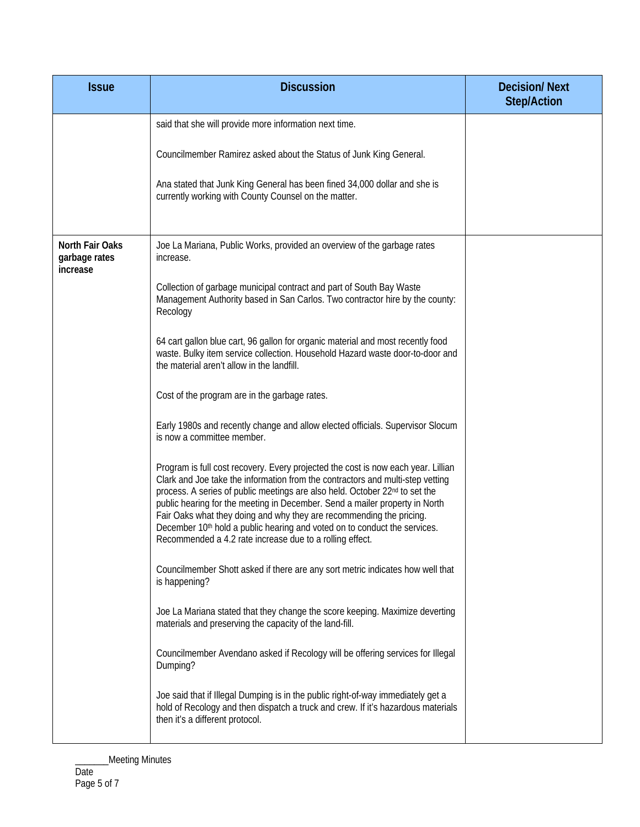| <b>Issue</b>                                 | <b>Discussion</b>                                                                                                                                                                                                                                                                                                                                                                                                                                                                                                                                              | <b>Decision/Next</b><br><b>Step/Action</b> |
|----------------------------------------------|----------------------------------------------------------------------------------------------------------------------------------------------------------------------------------------------------------------------------------------------------------------------------------------------------------------------------------------------------------------------------------------------------------------------------------------------------------------------------------------------------------------------------------------------------------------|--------------------------------------------|
|                                              | said that she will provide more information next time.                                                                                                                                                                                                                                                                                                                                                                                                                                                                                                         |                                            |
|                                              | Councilmember Ramirez asked about the Status of Junk King General.                                                                                                                                                                                                                                                                                                                                                                                                                                                                                             |                                            |
|                                              | Ana stated that Junk King General has been fined 34,000 dollar and she is<br>currently working with County Counsel on the matter.                                                                                                                                                                                                                                                                                                                                                                                                                              |                                            |
| North Fair Oaks<br>garbage rates<br>increase | Joe La Mariana, Public Works, provided an overview of the garbage rates<br>increase.                                                                                                                                                                                                                                                                                                                                                                                                                                                                           |                                            |
|                                              | Collection of garbage municipal contract and part of South Bay Waste<br>Management Authority based in San Carlos. Two contractor hire by the county:<br>Recology                                                                                                                                                                                                                                                                                                                                                                                               |                                            |
|                                              | 64 cart gallon blue cart, 96 gallon for organic material and most recently food<br>waste. Bulky item service collection. Household Hazard waste door-to-door and<br>the material aren't allow in the landfill.                                                                                                                                                                                                                                                                                                                                                 |                                            |
|                                              | Cost of the program are in the garbage rates.                                                                                                                                                                                                                                                                                                                                                                                                                                                                                                                  |                                            |
|                                              | Early 1980s and recently change and allow elected officials. Supervisor Slocum<br>is now a committee member.                                                                                                                                                                                                                                                                                                                                                                                                                                                   |                                            |
|                                              | Program is full cost recovery. Every projected the cost is now each year. Lillian<br>Clark and Joe take the information from the contractors and multi-step vetting<br>process. A series of public meetings are also held. October 22nd to set the<br>public hearing for the meeting in December. Send a mailer property in North<br>Fair Oaks what they doing and why they are recommending the pricing.<br>December 10 <sup>th</sup> hold a public hearing and voted on to conduct the services.<br>Recommended a 4.2 rate increase due to a rolling effect. |                                            |
|                                              | Councilmember Shott asked if there are any sort metric indicates how well that<br>is happening?                                                                                                                                                                                                                                                                                                                                                                                                                                                                |                                            |
|                                              | Joe La Mariana stated that they change the score keeping. Maximize deverting<br>materials and preserving the capacity of the land-fill.                                                                                                                                                                                                                                                                                                                                                                                                                        |                                            |
|                                              | Councilmember Avendano asked if Recology will be offering services for Illegal<br>Dumping?                                                                                                                                                                                                                                                                                                                                                                                                                                                                     |                                            |
|                                              | Joe said that if Illegal Dumping is in the public right-of-way immediately get a<br>hold of Recology and then dispatch a truck and crew. If it's hazardous materials<br>then it's a different protocol.                                                                                                                                                                                                                                                                                                                                                        |                                            |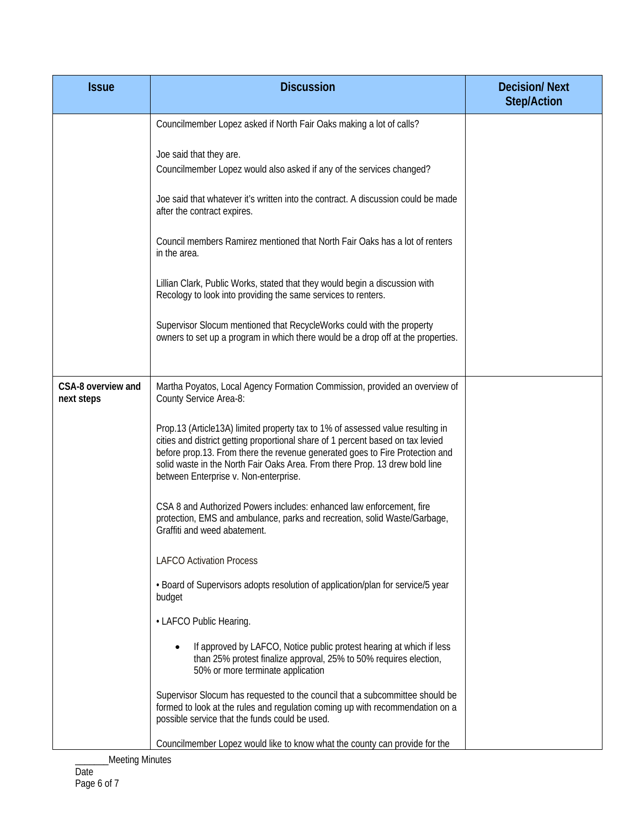| <b>Issue</b>                     | <b>Discussion</b>                                                                                                                                                                                                                                                                                                                                                         | <b>Decision/Next</b><br><b>Step/Action</b> |
|----------------------------------|---------------------------------------------------------------------------------------------------------------------------------------------------------------------------------------------------------------------------------------------------------------------------------------------------------------------------------------------------------------------------|--------------------------------------------|
|                                  | Councilmember Lopez asked if North Fair Oaks making a lot of calls?                                                                                                                                                                                                                                                                                                       |                                            |
|                                  | Joe said that they are.<br>Councilmember Lopez would also asked if any of the services changed?                                                                                                                                                                                                                                                                           |                                            |
|                                  | Joe said that whatever it's written into the contract. A discussion could be made<br>after the contract expires.                                                                                                                                                                                                                                                          |                                            |
|                                  | Council members Ramirez mentioned that North Fair Oaks has a lot of renters<br>in the area.                                                                                                                                                                                                                                                                               |                                            |
|                                  | Lillian Clark, Public Works, stated that they would begin a discussion with<br>Recology to look into providing the same services to renters.                                                                                                                                                                                                                              |                                            |
|                                  | Supervisor Slocum mentioned that RecycleWorks could with the property<br>owners to set up a program in which there would be a drop off at the properties.                                                                                                                                                                                                                 |                                            |
| CSA-8 overview and<br>next steps | Martha Poyatos, Local Agency Formation Commission, provided an overview of<br>County Service Area-8:                                                                                                                                                                                                                                                                      |                                            |
|                                  | Prop.13 (Article13A) limited property tax to 1% of assessed value resulting in<br>cities and district getting proportional share of 1 percent based on tax levied<br>before prop.13. From there the revenue generated goes to Fire Protection and<br>solid waste in the North Fair Oaks Area. From there Prop. 13 drew bold line<br>between Enterprise v. Non-enterprise. |                                            |
|                                  | CSA 8 and Authorized Powers includes: enhanced law enforcement, fire<br>protection, EMS and ambulance, parks and recreation, solid Waste/Garbage,<br>Graffiti and weed abatement.                                                                                                                                                                                         |                                            |
|                                  | <b>LAFCO Activation Process</b>                                                                                                                                                                                                                                                                                                                                           |                                            |
|                                  | • Board of Supervisors adopts resolution of application/plan for service/5 year<br>budget                                                                                                                                                                                                                                                                                 |                                            |
|                                  | • LAFCO Public Hearing.                                                                                                                                                                                                                                                                                                                                                   |                                            |
|                                  | If approved by LAFCO, Notice public protest hearing at which if less<br>than 25% protest finalize approval, 25% to 50% requires election,<br>50% or more terminate application                                                                                                                                                                                            |                                            |
|                                  | Supervisor Slocum has requested to the council that a subcommittee should be<br>formed to look at the rules and regulation coming up with recommendation on a<br>possible service that the funds could be used.                                                                                                                                                           |                                            |
|                                  | Councilmember Lopez would like to know what the county can provide for the                                                                                                                                                                                                                                                                                                |                                            |

\_\_\_Meeting Minutes